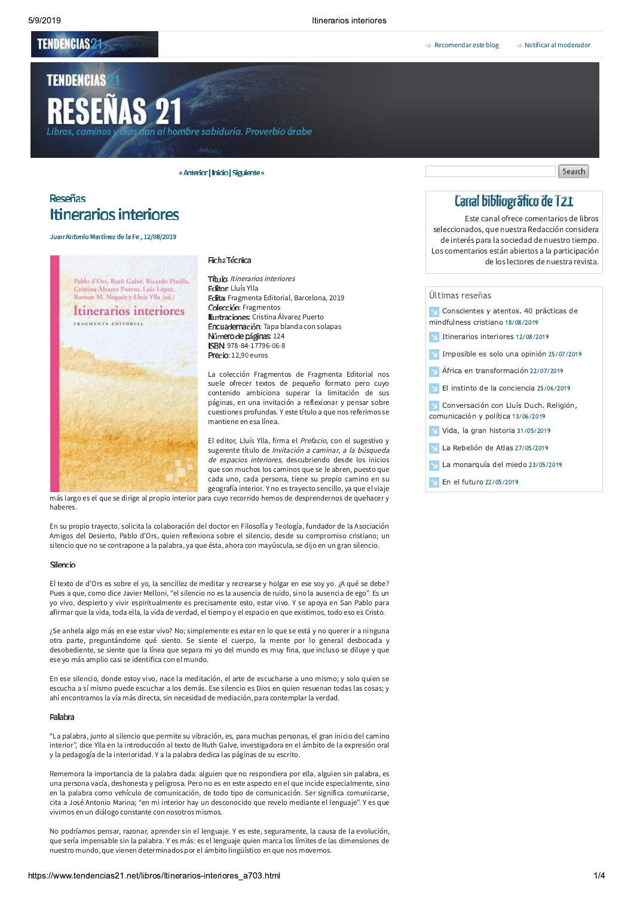## **TENDENCIAS21**

**TENDENCIAS** 

# **RESEÑAS 21**

al hombre sabiduría. Proverbio árabe

« Anterior | Inicio | Siguiente »

# **Reseñas Itinerarios interiores**

#### Juan Antonio Martínez de la Fe, 12/08/2019



#### Ficha Técnica

Titulo: Itinerarios interiores **Editor:** Lluís Ylla Edita: Fragmenta Editorial, Barcelona, 2019 Colección: Fragmentos **Ilustraciones:** Cristina Álvarez Puerto Encuademación: Tapa blanda con solapas Número de páginas: 124 ISBN: 978-84-17796-06-8 Precio: 12,90 euros

La colección Fragmentos de Fragmenta Editorial nos suele ofrecer textos de pequeño formato pero cuvo contenido ambiciona superar la limitación de sus páginas, en una invitación a reflexionar y pensar sobre cuestiones profundas. Y este título a que nos referimos se mantiene en esa línea.

El editor, Lluís Ylla, firma el Prefacio, con el sugestivo y sugerente título de Invitación a caminar, a la búsqueda de espacios interiores, descubriendo desde los inicios que son muchos los caminos que se le abren, puesto que cada uno, cada persona, tiene su propio camino en su geografía interior. Y no es travecto sencillo, va que el viaje

más largo es el que se dirige al propio interior para cuyo recorrido hemos de desprendernos de quehacer y haberes

En su propio trayecto, solicita la colaboración del doctor en Filosofía y Teología, fundador de la Asociación Amigos del Desierto, Pablo d'Ors, quien reflexiona sobre el silencio, desde su compromiso cristiano; un silencio que no se contrapone a la palabra, ya que ésta, ahora con mayúscula, se dijo en un gran silencio.

#### Silencio

El texto de d'Ors es sobre el yo, la sencillez de meditar y recrearse y holgar en ese soy yo. ;A qué se debe? Pues a que, como dice Javier Melloni, "el silencio no es la ausencia de ruido, sino la ausencia de ego". Es un yo vivo, despierto y vivir espiritualmente es precisamente esto, estar vivo. Y se apoya en San Pablo para afirmar que la vida, toda ella, la vida de verdad, el tiempo y el espacio en que existimos, todo eso es Cristo.

¿Se anhela algo más en ese estar vivo? No; simplemente es estar en lo que se está y no querer ir a ninguna otra parte, preguntándome qué siento. Se siente el cuerpo, la mente por lo general desbocada y desobediente, se siente que la línea que separa mi yo del mundo es muy fina, que incluso se diluye y que ese yo más amplio casi se identifica con el mundo.

En ese silencio, donde estoy vivo, nace la meditación, el arte de escucharse a uno mismo; y solo quien se escucha a sí mismo puede escuchar a los demás. Ese silencio es Dios en quien resuenan todas las cosas: y ahí encontramos la vía más directa, sin necesidad de mediación, para contemplar la verdad.

#### Palabra

"La palabra, junto al silencio que permite su vibración, es, para muchas personas, el gran inicio del camino interior". dice Ylla en la introducción al texto de Ruth Galve, investigadora en el ámbito de la expresión oral y la pedagogía de la interioridad. Y a la palabra dedica las páginas de su escrito.

Rememora la importancia de la palabra dada: alguien que no respondiera por ella, alguien sin palabra, es una persona vacía, deshonesta y peligrosa. Pero no es en este aspecto en el que incide especialmente, sino en la palabra como vehículo de comunicación, de todo tipo de comunicación. Ser significa comunicarse, cita a José Antonio Marina; "en mi interior hay un desconocido que revelo mediante el lenguaje". Y es que vivimos en un diálogo constante con nosotros mismos.

No podríamos pensar, razonar, aprender sin el lenguaje. Y es este, seguramente, la causa de la evolución, que sería impensable sin la palabra. Y es más: es el lenguaje quien marca los límites de las dimensiones de nuestro mundo, que vienen determinados por el ámbito lingüístico en que nos movemos.

Search

# Canal bibliográfico de T21

Este canal ofrece comentarios de libros seleccionados, que nuestra Redacción considera de interés para la sociedad de nuestro tiempo. Los comentarios están abiertos a la participación de los lectores de nuestra revista.

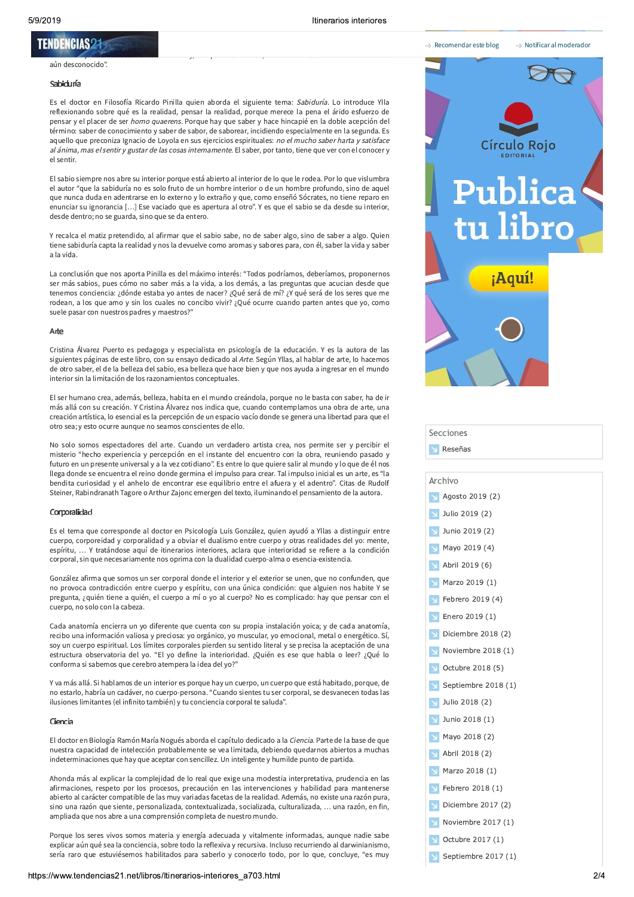#### Itinerarios interiores

## **TENDENGIAS21**

#### aún desconocido"

#### Sabiduna

Es el doctor en Filosofía Ricardo Pinilla quien aborda el siguiente tema: Sabiduría. Lo introduce Ylla reflexionando sobre qué es la realidad, pensar la realidad, porque merece la pena el árido esfuerzo de pensar y el placer de ser homo quaerens. Porque hay que saber y hace hincapié en la doble acepción del término: saber de conocimiento y saber de sabor, de saborear, incidiendo especialmente en la segunda. Es aquello que preconiza Ignacio de Loyola en sus ejercicios espirituales: no el mucho saber harta y satisface al ánima, mas el sentir y gustar de las cosas internamente. El saber, por tanto, tiene que ver con el conocer y el sentir.

El sabio siempre nos abre su interior porque está abierto al interior de lo que le rodea. Por lo que vislumbra el autor "que la sabiduría no es solo fruto de un hombre interior o de un hombre profundo, sino de aquel que nunca duda en adentrarse en lo externo y lo extraño y que, como enseñó Sócrates, no tiene reparo en enunciar su ignorancia [...] Ese vaciado que es apertura al otro". Y es que el sabio se da desde su interior, desde dentro; no se guarda, sino que se da entero.

Y recalca el matiz pretendido, al afirmar que el sabio sabe, no de saber algo, sino de saber a algo. Quien tiene sabiduría capta la realidad y nos la devuelve como aromas y sabores para, con él, saber la vida y saber a la vida.

La conclusión que nos aporta Pinilla es del máximo interés: "Todos podríamos, deberíamos, proponernos ser más sabios, pues cómo no saber más a la vida, a los demás, a las preguntas que acucian desde que tenemos conciencia: ¿dónde estaba yo antes de nacer? ¿Qué será de mí? ¿Y qué será de los seres que me rodean, a los que amo y sin los cuales no concibo vivir? ¿Qué ocurre cuando parten antes que yo, como suele pasar con nuestros padres y maestros?"

#### Arte

Cristina Álvarez Puerto es pedagoga y especialista en psicología de la educación. Y es la autora de las siguientes páginas de este libro, con su ensavo dedicado al Arte. Según Yllas, al hablar de arte, lo hacemos de otro saber, el de la belleza del sabio, esa belleza que hace bien y que nos ayuda a ingresar en el mundo interior sin la limitación de los razonamientos conceptuales.

El ser humano crea, además, belleza, habita en el mundo creándola, porque no le basta con saber, ha de ir más allá con su creación. Y Cristina Álvarez nos indica que, cuando contemplamos una obra de arte, una creación artística. Jo esencial es la percepción de un espacio vacío donde se genera una libertad para que el otro sea; y esto ocurre aunque no seamos conscientes de ello.

No solo somos espectadores del arte. Cuando un verdadero artista crea, nos permite ser y percibir el misterio "hecho experiencia y percepción en el instante del encuentro con la obra, reuniendo pasado y futuro en un presente universal y a la vez cotidiano". Es entre lo que quiere salir al mundo y lo que de él nos llega donde se encuentra el reino donde germina el impulso para crear. Tal impulso inicial es un arte, es "la bendita curiosidad y el anhelo de encontrar ese equilibrio entre el afuera y el adentro". Citas de Rudolf Steiner, Rabindranath Tagore o Arthur Zajonc emergen del texto, iluminando el pensamiento de la autora.

#### Corporalidad

Es el tema que corresponde al doctor en Psicología Luis González, quien ayudó a Yllas a distinguir entre cuerpo, corporeidad y corporalidad y a obviar el dualismo entre cuerpo y otras realidades del yo: mente, espíritu, ... Y tratándose aquí de itinerarios interiores, aclara que interioridad se refiere a la condición corporal, sin que necesariamente nos oprima con la dualidad cuerpo-alma o esencia-existencia.

González afirma que somos un ser corporal donde el interior y el exterior se unen, que no confunden, que no provoca contradicción entre cuerpo y espíritu, con una única condición: que alguien nos habite Y se pregunta, ¿quién tiene a quién, el cuerpo a mí o yo al cuerpo? No es complicado: hay que pensar con el cuerpo, no solo con la cabeza.

Cada anatomía encierra un yo diferente que cuenta con su propia instalación yoica; y de cada anatomía, recibo una información valiosa y preciosa: yo orgánico, yo muscular, yo emocional, metal o energético. Sí, soy un cuerpo espiritual. Los límites corporales pierden su sentido literal y se precisa la aceptación de una estructura observatoria del yo. "El yo define la interioridad. ¿Quién es ese que habla o leer? ¿Qué lo conforma si sabemos que cerebro atempera la idea del vo?"

Y va más allá. Si hablamos de un interior es porque hay un cuerpo, un cuerpo que está habitado, porque, de no estarlo, habría un cadáver, no cuerpo-persona. "Cuando sientes tu ser corporal, se desvanecen todas las ilusiones limitantes (el infinito también) y tu conciencia corporal te saluda".

#### Ciencia

El doctor en Biología Ramón María Nogués aborda el capítulo dedicado a la Ciencia. Parte de la base de que nuestra capacidad de intelección probablemente se vea limitada, debiendo quedarnos abiertos a muchas indeterminaciones que hay que aceptar con sencillez. Un inteligente y humilde punto de partida.

Ahonda más al explicar la compleiidad de lo real que exige una modestia interpretativa, prudencia en las afirmaciones, respeto por los procesos, precaución en las intervenciones y habilidad para mantenerse abierto al carácter compatible de las muy variadas facetas de la realidad. Además, no existe una razón pura, sino una razón que siente, personalizada, contextualizada, socializada, culturalizada, ... una razón, en fin, ampliada que nos abre a una comprensión completa de nuestro mundo.

Porque los seres vivos somos materia y energía adecuada y vitalmente informadas, aunque nadie sabe explicar aún qué sea la conciencia, sobre todo la reflexiva y recursiva. Incluso recurriendo al darwinianismo, sería raro que estuviésemos habilitados para saberlo y conocerlo todo, por lo que, concluye, "es muy



Secciones Reseñas

Archivo